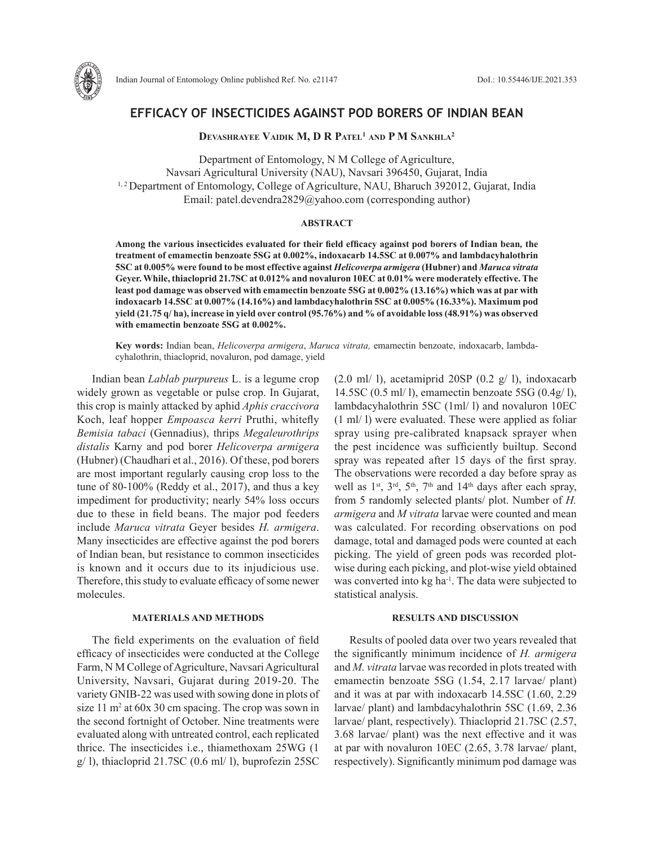

# **EFFICACY OF INSECTICIDES AGAINST POD BORERS OF INDIAN BEAN**

**DEVASHRAYEE VAIDIK M, D R PATEL<sup>1</sup> AND P M SANKHLA<sup>2</sup>** 

Department of Entomology, N M College of Agriculture, Navsari Agricultural University (NAU), Navsari 396450, Gujarat, India <sup>1, 2</sup> Department of Entomology, College of Agriculture, NAU, Bharuch 392012, Gujarat, India Email: patel.devendra2829@yahoo.com (corresponding author)

### **ABSTRACT**

**Among the various insecticides evaluated for their field efficacy against pod borers of Indian bean***,* **the treatment of emamectin benzoate 5SG at 0.002%, indoxacarb 14.5SC at 0.007% and lambdacyhalothrin 5SC at 0.005% were found to be most effective against** *Helicoverpa armigera* **(Hubner) and** *Maruca vitrata* **Geyer. While, thiacloprid 21.7SC at 0.012% and novaluron 10EC at 0.01% were moderately effective. The least pod damage was observed with emamectin benzoate 5SG at 0.002% (13.16%) which was at par with indoxacarb 14.5SC at 0.007% (14.16%) and lambdacyhalothrin 5SC at 0.005% (16.33%). Maximum pod yield (21.75 q/ ha), increase in yield over control (95.76%) and % of avoidable loss (48.91%) was observed with emamectin benzoate 5SG at 0.002%.**

**Key words:** Indian bean, *Helicoverpa armigera*, *Maruca vitrata,* emamectin benzoate, indoxacarb, lambdacyhalothrin, thiacloprid, novaluron, pod damage, yield

Indian bean *Lablab purpureus* L. is a legume crop widely grown as vegetable or pulse crop. In Gujarat, this crop is mainly attacked by aphid *Aphis craccivora*  Koch, leaf hopper *Empoasca kerri* Pruthi, whitefly *Bemisia tabaci* (Gennadius), thrips *Megaleurothrips distalis* Karny and pod borer *Helicoverpa armigera*  (Hubner) (Chaudhari et al., 2016). Of these, pod borers are most important regularly causing crop loss to the tune of 80-100% (Reddy et al., 2017), and thus a key impediment for productivity; nearly 54% loss occurs due to these in field beans. The major pod feeders include *Maruca vitrata* Geyer besides *H. armigera*. Many insecticides are effective against the pod borers of Indian bean, but resistance to common insecticides is known and it occurs due to its injudicious use. Therefore, this study to evaluate efficacy of some newer molecules.

### **MATERIALS AND METHODS**

The field experiments on the evaluation of field efficacy of insecticides were conducted at the College Farm, N M College of Agriculture, Navsari Agricultural University, Navsari, Gujarat during 2019-20. The variety GNIB-22 was used with sowing done in plots of size 11 m<sup>2</sup> at 60x 30 cm spacing. The crop was sown in the second fortnight of October. Nine treatments were evaluated along with untreated control, each replicated thrice. The insecticides i.e., thiamethoxam 25WG (1  $g/$  l), thiacloprid 21.7SC (0.6 ml/ l), buprofezin 25SC

 $(2.0 \text{ ml}/ 1)$ , acetamiprid 20SP  $(0.2 \text{ g}/ 1)$ , indoxacarb 14.5SC (0.5 ml/ l), emamectin benzoate 5SG (0.4g/ l), lambdacyhalothrin 5SC (1ml/ l) and novaluron 10EC (1 ml/ l) were evaluated. These were applied as foliar spray using pre-calibrated knapsack sprayer when the pest incidence was sufficiently builtup. Second spray was repeated after 15 days of the first spray. The observations were recorded a day before spray as well as  $1<sup>st</sup>$ ,  $3<sup>rd</sup>$ ,  $5<sup>th</sup>$ ,  $7<sup>th</sup>$  and  $14<sup>th</sup>$  days after each spray, from 5 randomly selected plants/ plot. Number of *H. armigera* and *M vitrata* larvae were counted and mean was calculated. For recording observations on pod damage, total and damaged pods were counted at each picking. The yield of green pods was recorded plotwise during each picking, and plot-wise yield obtained was converted into kg ha<sup>-1</sup>. The data were subjected to statistical analysis.

## **RESULTS AND DISCUSSION**

Results of pooled data over two years revealed that the significantly minimum incidence of *H. armigera* and *M. vitrata* larvae was recorded in plots treated with emamectin benzoate 5SG (1.54, 2.17 larvae/ plant) and it was at par with indoxacarb 14.5SC (1.60, 2.29 larvae/ plant) and lambdacyhalothrin 5SC (1.69, 2.36 larvae/ plant, respectively). Thiacloprid 21.7SC (2.57, 3.68 larvae/ plant) was the next effective and it was at par with novaluron 10EC (2.65, 3.78 larvae/ plant, respectively). Significantly minimum pod damage was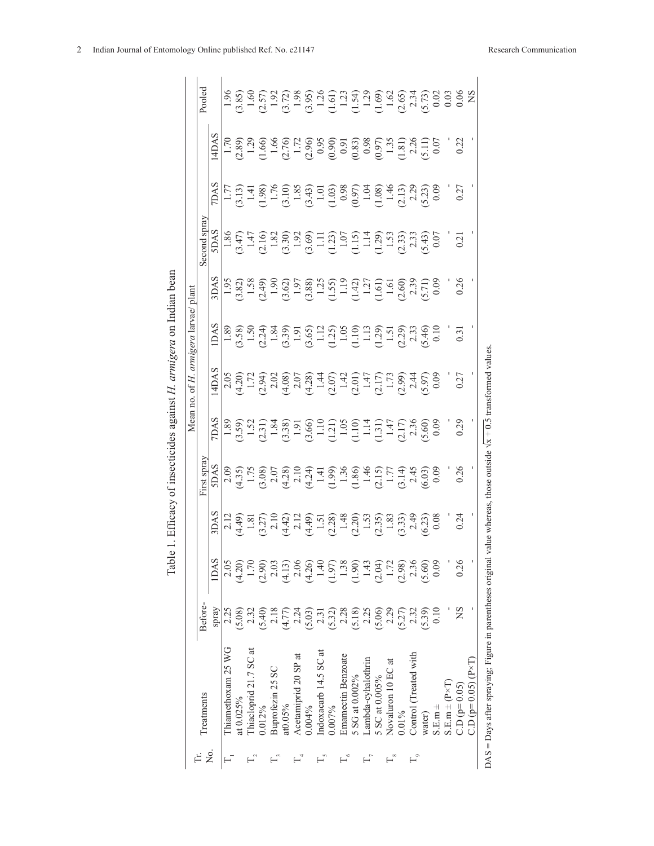|                      |                                                             |               |                              |                                                                                                                                                                                                                                                                                                                                                                                                          |                                                                                                                                                                                                                                                                                                                | Mean no.    |                                                                                                                                                                                                                                                                                                                                              | of H. armigera larvae/ plant |                                                                                                                                                                                                                                                                                                                             |                                                                                                                                                                                                                                                                                                               |                                                                   |                                                                                                                                                                                                                                                                             |                                                                                                                                                                                                                                                                                                               |
|----------------------|-------------------------------------------------------------|---------------|------------------------------|----------------------------------------------------------------------------------------------------------------------------------------------------------------------------------------------------------------------------------------------------------------------------------------------------------------------------------------------------------------------------------------------------------|----------------------------------------------------------------------------------------------------------------------------------------------------------------------------------------------------------------------------------------------------------------------------------------------------------------|-------------|----------------------------------------------------------------------------------------------------------------------------------------------------------------------------------------------------------------------------------------------------------------------------------------------------------------------------------------------|------------------------------|-----------------------------------------------------------------------------------------------------------------------------------------------------------------------------------------------------------------------------------------------------------------------------------------------------------------------------|---------------------------------------------------------------------------------------------------------------------------------------------------------------------------------------------------------------------------------------------------------------------------------------------------------------|-------------------------------------------------------------------|-----------------------------------------------------------------------------------------------------------------------------------------------------------------------------------------------------------------------------------------------------------------------------|---------------------------------------------------------------------------------------------------------------------------------------------------------------------------------------------------------------------------------------------------------------------------------------------------------------|
|                      | <b>I</b> reatments                                          | <b>Before</b> |                              |                                                                                                                                                                                                                                                                                                                                                                                                          | First spra-                                                                                                                                                                                                                                                                                                    |             |                                                                                                                                                                                                                                                                                                                                              |                              |                                                                                                                                                                                                                                                                                                                             | Second spray                                                                                                                                                                                                                                                                                                  |                                                                   |                                                                                                                                                                                                                                                                             | Pooled                                                                                                                                                                                                                                                                                                        |
| Σò,                  |                                                             | spray         | <b>IDAS</b>                  | <b>SACR</b>                                                                                                                                                                                                                                                                                                                                                                                              | <b>SDAS</b>                                                                                                                                                                                                                                                                                                    | <b>ZDAS</b> | 4DAS                                                                                                                                                                                                                                                                                                                                         | <b>IDAS</b>                  | <b>AQ</b>                                                                                                                                                                                                                                                                                                                   | SDAS                                                                                                                                                                                                                                                                                                          | <b>ZDAS</b>                                                       | 4DAS                                                                                                                                                                                                                                                                        |                                                                                                                                                                                                                                                                                                               |
|                      | Thiamethoxam 25 WG                                          | 2.25          | 2.05                         |                                                                                                                                                                                                                                                                                                                                                                                                          | 2.09                                                                                                                                                                                                                                                                                                           |             |                                                                                                                                                                                                                                                                                                                                              |                              |                                                                                                                                                                                                                                                                                                                             |                                                                                                                                                                                                                                                                                                               |                                                                   |                                                                                                                                                                                                                                                                             |                                                                                                                                                                                                                                                                                                               |
|                      | at 0.025%                                                   | 5.08)         | (4.20)                       |                                                                                                                                                                                                                                                                                                                                                                                                          |                                                                                                                                                                                                                                                                                                                |             |                                                                                                                                                                                                                                                                                                                                              |                              |                                                                                                                                                                                                                                                                                                                             |                                                                                                                                                                                                                                                                                                               |                                                                   |                                                                                                                                                                                                                                                                             |                                                                                                                                                                                                                                                                                                               |
|                      | Thiacloprid 21.7 SC at                                      | 2.32          | 1.70                         |                                                                                                                                                                                                                                                                                                                                                                                                          |                                                                                                                                                                                                                                                                                                                |             |                                                                                                                                                                                                                                                                                                                                              |                              |                                                                                                                                                                                                                                                                                                                             |                                                                                                                                                                                                                                                                                                               |                                                                   |                                                                                                                                                                                                                                                                             |                                                                                                                                                                                                                                                                                                               |
|                      | 0.012%                                                      | $(0 + 5)$     | (2.90)                       |                                                                                                                                                                                                                                                                                                                                                                                                          |                                                                                                                                                                                                                                                                                                                |             |                                                                                                                                                                                                                                                                                                                                              |                              |                                                                                                                                                                                                                                                                                                                             |                                                                                                                                                                                                                                                                                                               |                                                                   |                                                                                                                                                                                                                                                                             |                                                                                                                                                                                                                                                                                                               |
|                      | Buprofezin 25 SC                                            | 2.18          | 2.03                         |                                                                                                                                                                                                                                                                                                                                                                                                          |                                                                                                                                                                                                                                                                                                                |             |                                                                                                                                                                                                                                                                                                                                              |                              |                                                                                                                                                                                                                                                                                                                             |                                                                                                                                                                                                                                                                                                               |                                                                   |                                                                                                                                                                                                                                                                             |                                                                                                                                                                                                                                                                                                               |
|                      | at <sub>0.05%</sub>                                         | (4.77)        | (4.13)                       |                                                                                                                                                                                                                                                                                                                                                                                                          |                                                                                                                                                                                                                                                                                                                |             |                                                                                                                                                                                                                                                                                                                                              |                              |                                                                                                                                                                                                                                                                                                                             |                                                                                                                                                                                                                                                                                                               |                                                                   |                                                                                                                                                                                                                                                                             |                                                                                                                                                                                                                                                                                                               |
|                      | Acetamiprid 20 SP at                                        | 2.24          | 2.06                         |                                                                                                                                                                                                                                                                                                                                                                                                          |                                                                                                                                                                                                                                                                                                                |             |                                                                                                                                                                                                                                                                                                                                              |                              |                                                                                                                                                                                                                                                                                                                             |                                                                                                                                                                                                                                                                                                               |                                                                   |                                                                                                                                                                                                                                                                             |                                                                                                                                                                                                                                                                                                               |
|                      | $0.004\%$                                                   | (5.03)        | (4.26)                       |                                                                                                                                                                                                                                                                                                                                                                                                          |                                                                                                                                                                                                                                                                                                                |             |                                                                                                                                                                                                                                                                                                                                              |                              |                                                                                                                                                                                                                                                                                                                             |                                                                                                                                                                                                                                                                                                               |                                                                   |                                                                                                                                                                                                                                                                             |                                                                                                                                                                                                                                                                                                               |
|                      | Indoxacarb 14.5 SC at                                       | 2.31          | 1.40                         |                                                                                                                                                                                                                                                                                                                                                                                                          |                                                                                                                                                                                                                                                                                                                |             |                                                                                                                                                                                                                                                                                                                                              |                              |                                                                                                                                                                                                                                                                                                                             |                                                                                                                                                                                                                                                                                                               |                                                                   |                                                                                                                                                                                                                                                                             |                                                                                                                                                                                                                                                                                                               |
|                      | 0.007%                                                      | (5.32)        |                              | $\begin{array}{l} 2.12 \\ 2.449 \\ -1.81 \\ 1.27 \end{array} \begin{array}{l} 2.12 \\ 2.12 \\ 2.14 \end{array} \begin{array}{l} 2.13 \\ 2.14 \end{array} \begin{array}{l} 2.13 \\ 2.15 \end{array} \begin{array}{l} 2.13 \\ 2.15 \end{array} \begin{array}{l} 2.13 \\ 2.15 \end{array} \begin{array}{l} 2.13 \\ 2.15 \end{array} \begin{array}{l} 2.13 \\ 2.15 \end{array} \begin{array}{l} 2.13 \\ 2.1$ | $\begin{array}{l} \n 1.75 \\ 1.75 \\ 2.08 \\ 2.10 \\ 3.07 \\ 4.21 \\ 1.41 \\ 1.41 \\ 1.59 \\ 1.50 \\ 1.71 \\ 1.71 \\ 1.71 \\ 1.71 \\ 1.71 \\ 1.71 \\ 1.71 \\ 1.71 \\ 1.71 \\ 1.71 \\ 1.71 \\ 1.71 \\ 1.71 \\ 1.71 \\ 1.71 \\ 1.71 \\ 1.71 \\ 1.71 \\ 1.71 \\ 1.71 \\ 1.71 \\ 1.71 \\ 1.71 \\ 1.71 \\ 1.71 \\ $ |             | $\begin{array}{l} 2.05 \\ 2.01 \\ -1.72 \\ 1.73 \\ -2.08 \\ 2.07 \\ -1.72 \\ 3.08 \\ -2.07 \\ -1.72 \\ -2.07 \\ -1.73 \\ -1.75 \\ -1.77 \\ -1.77 \\ -1.77 \\ -1.77 \\ -1.77 \\ -1.77 \\ -1.77 \\ -1.77 \\ -1.77 \\ -1.77 \\ -1.77 \\ -1.77 \\ -1.77 \\ -1.77 \\ -1.77 \\ -1.77 \\ -1.77 \\ -1.77 \\ -1.77 \\ -1.77 \\ -1.77 \\ -1.77 \\ -1.$ |                              | $\begin{array}{l} 1.93 \\[-4pt] 1.33 \\[-4pt] 1.33 \\[-4pt] 1.33 \\[-4pt] 1.33 \\[-4pt] 1.33 \\[-4pt] 1.33 \\[-4pt] 1.33 \\[-4pt] 1.33 \\[-4pt] 1.33 \\[-4pt] 1.33 \\[-4pt] 1.33 \\[-4pt] 1.33 \\[-4pt] 1.33 \\[-4pt] 1.33 \\[-4pt] 1.33 \\[-4pt] 1.33 \\[-4pt] 1.33 \\[-4pt] 1.33 \\[-4pt] 1.33 \\[-4pt] 1.33 \\[-4pt] 1.$ | $\begin{array}{l} 1.86 \\ 1.47 \\ 1.47 \\ 1.80 \\ 1.81 \\ 1.81 \\ 1.82 \\ 1.83 \\ 1.85 \\ 1.86 \\ 1.87 \\ 1.89 \\ 1.81 \\ 1.81 \\ 1.81 \\ 1.81 \\ 1.81 \\ 1.81 \\ 1.81 \\ 1.81 \\ 1.81 \\ 1.81 \\ 1.81 \\ 1.81 \\ 1.81 \\ 1.81 \\ 1.81 \\ 1.81 \\ 1.81 \\ 1.81 \\ 1.81 \\ 1.81 \\ 1.81 \\ 1.81 \\ 1.81 \\ 1.$ | $\begin{array}{l} 1.7 \\ 1.9 \\ 1.4 \\ 1.5 \\ 1.6 \\ \end{array}$ | $\begin{array}{l} 1.72,80 \\ 1.23,91 \\ 1.4,66 \\ 1.5,7,80 \\ 1.66,7,80 \\ 1.7,7,80 \\ 1.7,7,80 \\ 1.7,7,80 \\ 1.7,7,80 \\ 1.7,7,80 \\ 1.7,7,80 \\ 1.7,7,80 \\ 1.7,7,7,80 \\ 1.7,7,7,7,8 \\ 1.7,7,7,7,7,7 \\ 1.7,7,7,7,7,7 \\ 1.7,7,7,7,7,7 \\ 1.7,7,7,7,7,7 \\ 1.7,7,7,7,$ | $\begin{array}{l} 5.85 \\ 3.89 \\ 7.19 \\ 8.99 \\ 1.91 \\ 1.91 \\ 1.91 \\ 1.91 \\ 1.91 \\ 1.91 \\ 1.91 \\ 1.91 \\ 1.91 \\ 1.91 \\ 1.91 \\ 1.91 \\ 1.91 \\ 1.91 \\ 1.91 \\ 1.91 \\ 1.91 \\ 1.91 \\ 1.91 \\ 1.91 \\ 1.91 \\ 1.92 \\ 1.93 \\ 1.93 \\ 1.93 \\ 1.93 \\ 1.93 \\ 1.93 \\ 1.93 \\ 1.93 \\ 1.93 \\ 1.$ |
|                      | Emamectin Benzoate                                          | 2.28          |                              |                                                                                                                                                                                                                                                                                                                                                                                                          |                                                                                                                                                                                                                                                                                                                |             |                                                                                                                                                                                                                                                                                                                                              |                              |                                                                                                                                                                                                                                                                                                                             |                                                                                                                                                                                                                                                                                                               |                                                                   |                                                                                                                                                                                                                                                                             |                                                                                                                                                                                                                                                                                                               |
|                      | 5 SG at 0.002%                                              | (5.18)        | $\frac{1.97}{1.38}$          |                                                                                                                                                                                                                                                                                                                                                                                                          |                                                                                                                                                                                                                                                                                                                |             |                                                                                                                                                                                                                                                                                                                                              |                              |                                                                                                                                                                                                                                                                                                                             |                                                                                                                                                                                                                                                                                                               |                                                                   |                                                                                                                                                                                                                                                                             |                                                                                                                                                                                                                                                                                                               |
|                      | Lambda-cyhalothrin                                          | 2.25          |                              |                                                                                                                                                                                                                                                                                                                                                                                                          |                                                                                                                                                                                                                                                                                                                |             |                                                                                                                                                                                                                                                                                                                                              |                              |                                                                                                                                                                                                                                                                                                                             |                                                                                                                                                                                                                                                                                                               |                                                                   |                                                                                                                                                                                                                                                                             |                                                                                                                                                                                                                                                                                                               |
|                      | 5 SC at 0.005%                                              | (5.06)        | $1.43$<br>$(2.04)$<br>$1.72$ |                                                                                                                                                                                                                                                                                                                                                                                                          |                                                                                                                                                                                                                                                                                                                |             |                                                                                                                                                                                                                                                                                                                                              |                              |                                                                                                                                                                                                                                                                                                                             |                                                                                                                                                                                                                                                                                                               |                                                                   |                                                                                                                                                                                                                                                                             |                                                                                                                                                                                                                                                                                                               |
| ۴                    | Novaluron 10 EC at                                          | 2.29          |                              |                                                                                                                                                                                                                                                                                                                                                                                                          |                                                                                                                                                                                                                                                                                                                |             |                                                                                                                                                                                                                                                                                                                                              |                              |                                                                                                                                                                                                                                                                                                                             |                                                                                                                                                                                                                                                                                                               |                                                                   |                                                                                                                                                                                                                                                                             |                                                                                                                                                                                                                                                                                                               |
|                      | $0.01\%$                                                    | (5.27)        | (2.98)                       |                                                                                                                                                                                                                                                                                                                                                                                                          |                                                                                                                                                                                                                                                                                                                |             |                                                                                                                                                                                                                                                                                                                                              |                              |                                                                                                                                                                                                                                                                                                                             |                                                                                                                                                                                                                                                                                                               |                                                                   |                                                                                                                                                                                                                                                                             |                                                                                                                                                                                                                                                                                                               |
| $\mathsf{L}_{\circ}$ | Control (Treated with                                       | 2.32          | 2.36                         |                                                                                                                                                                                                                                                                                                                                                                                                          |                                                                                                                                                                                                                                                                                                                |             |                                                                                                                                                                                                                                                                                                                                              |                              |                                                                                                                                                                                                                                                                                                                             |                                                                                                                                                                                                                                                                                                               |                                                                   |                                                                                                                                                                                                                                                                             |                                                                                                                                                                                                                                                                                                               |
|                      | water)                                                      | (5.39)        | (5.60)                       |                                                                                                                                                                                                                                                                                                                                                                                                          |                                                                                                                                                                                                                                                                                                                |             |                                                                                                                                                                                                                                                                                                                                              |                              |                                                                                                                                                                                                                                                                                                                             |                                                                                                                                                                                                                                                                                                               |                                                                   |                                                                                                                                                                                                                                                                             |                                                                                                                                                                                                                                                                                                               |
|                      | $S.E.m. \pm$                                                | 0.10          | 0.09                         |                                                                                                                                                                                                                                                                                                                                                                                                          |                                                                                                                                                                                                                                                                                                                |             |                                                                                                                                                                                                                                                                                                                                              |                              |                                                                                                                                                                                                                                                                                                                             |                                                                                                                                                                                                                                                                                                               |                                                                   |                                                                                                                                                                                                                                                                             |                                                                                                                                                                                                                                                                                                               |
|                      | $S.E.m = (P \times I)$                                      |               |                              |                                                                                                                                                                                                                                                                                                                                                                                                          |                                                                                                                                                                                                                                                                                                                |             |                                                                                                                                                                                                                                                                                                                                              |                              |                                                                                                                                                                                                                                                                                                                             |                                                                                                                                                                                                                                                                                                               |                                                                   |                                                                                                                                                                                                                                                                             |                                                                                                                                                                                                                                                                                                               |
|                      | $C.D(p=0.05)$                                               | SN            | 0.26                         | 0.24                                                                                                                                                                                                                                                                                                                                                                                                     | 0.26                                                                                                                                                                                                                                                                                                           | 0.29        | 0.27                                                                                                                                                                                                                                                                                                                                         | $\overline{0.3}$             | 0.26                                                                                                                                                                                                                                                                                                                        | 0.2                                                                                                                                                                                                                                                                                                           | 0.27                                                              | 0.22                                                                                                                                                                                                                                                                        |                                                                                                                                                                                                                                                                                                               |
|                      | $CD (p=0.05) (P \times T)$                                  |               |                              |                                                                                                                                                                                                                                                                                                                                                                                                          |                                                                                                                                                                                                                                                                                                                |             |                                                                                                                                                                                                                                                                                                                                              |                              |                                                                                                                                                                                                                                                                                                                             |                                                                                                                                                                                                                                                                                                               |                                                                   |                                                                                                                                                                                                                                                                             |                                                                                                                                                                                                                                                                                                               |
|                      | $DAS =$ Days after spraying; Figure in parentheses original |               |                              |                                                                                                                                                                                                                                                                                                                                                                                                          | alue whereas, those outside $\sqrt{x}$ + 0.5 transformed values                                                                                                                                                                                                                                                |             |                                                                                                                                                                                                                                                                                                                                              |                              |                                                                                                                                                                                                                                                                                                                             |                                                                                                                                                                                                                                                                                                               |                                                                   |                                                                                                                                                                                                                                                                             |                                                                                                                                                                                                                                                                                                               |

Table 1. Efficacy of insecticides against H. armigera on Indian bean Table 1. Efficacy of insecticides against *H. armigera* on Indian bean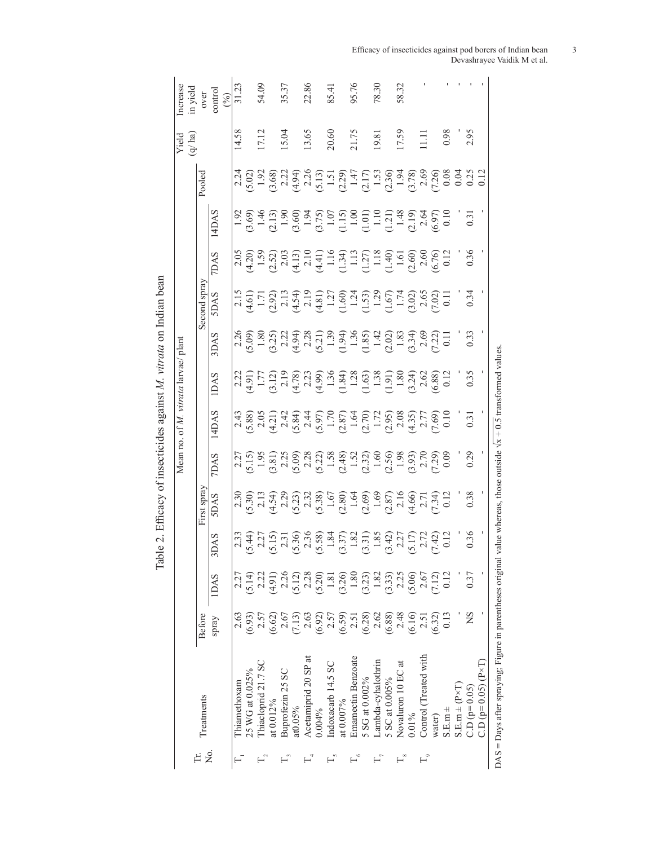| need nethol mon primite<br>n ann n                            |
|---------------------------------------------------------------|
|                                                               |
| )                                                             |
| $\frac{1}{2}$ . Then is a contract and contract $\frac{1}{2}$ |
|                                                               |
| $\frac{c}{c}$                                                 |
|                                                               |
| م دام 1.47                                                    |

|    |                                                             |                  |                                                                                                                                                                                                                                                                                                               |      |                                                                  |                                                                                                                                                                                                                                                                            | Mean no. of M. vitrata larvae/ plant |                                                                                                                                                                                                                                                                                                                                             |                                                                                                                                                                                                                                                                                                                                              |                                                                                                                                                                                                                                                                                                               |                                                                          |                                                                                                                                                                                                                                                                                                               |        | Yield<br>(q/ ha) | ncrease<br>in yield    |
|----|-------------------------------------------------------------|------------------|---------------------------------------------------------------------------------------------------------------------------------------------------------------------------------------------------------------------------------------------------------------------------------------------------------------|------|------------------------------------------------------------------|----------------------------------------------------------------------------------------------------------------------------------------------------------------------------------------------------------------------------------------------------------------------------|--------------------------------------|---------------------------------------------------------------------------------------------------------------------------------------------------------------------------------------------------------------------------------------------------------------------------------------------------------------------------------------------|----------------------------------------------------------------------------------------------------------------------------------------------------------------------------------------------------------------------------------------------------------------------------------------------------------------------------------------------|---------------------------------------------------------------------------------------------------------------------------------------------------------------------------------------------------------------------------------------------------------------------------------------------------------------|--------------------------------------------------------------------------|---------------------------------------------------------------------------------------------------------------------------------------------------------------------------------------------------------------------------------------------------------------------------------------------------------------|--------|------------------|------------------------|
|    | Treatments                                                  | Before           |                                                                                                                                                                                                                                                                                                               |      | First spray                                                      |                                                                                                                                                                                                                                                                            |                                      |                                                                                                                                                                                                                                                                                                                                             |                                                                                                                                                                                                                                                                                                                                              | Second spray                                                                                                                                                                                                                                                                                                  |                                                                          |                                                                                                                                                                                                                                                                                                               | Pooled |                  |                        |
| 2. |                                                             | Spray            | <b>IDAS</b>                                                                                                                                                                                                                                                                                                   | 3DAS | <b>SDAS</b>                                                      | <b>ZDAS</b>                                                                                                                                                                                                                                                                | 14DAS                                | <b>IDAS</b>                                                                                                                                                                                                                                                                                                                                 | 3DAS                                                                                                                                                                                                                                                                                                                                         | <b>SDAS</b>                                                                                                                                                                                                                                                                                                   | <b>ZDAS</b>                                                              | 14DAS                                                                                                                                                                                                                                                                                                         |        |                  | over<br>control<br>(%) |
|    | hiamethoxam                                                 | 2.63             |                                                                                                                                                                                                                                                                                                               |      |                                                                  |                                                                                                                                                                                                                                                                            |                                      |                                                                                                                                                                                                                                                                                                                                             |                                                                                                                                                                                                                                                                                                                                              |                                                                                                                                                                                                                                                                                                               |                                                                          |                                                                                                                                                                                                                                                                                                               |        | 14.58            | 31.23                  |
|    | 15 WG at 0.025%                                             | (6.93)           |                                                                                                                                                                                                                                                                                                               |      |                                                                  | $\begin{array}{l} 2.27\\ 5.15\\ 1.95\\ 2.81\\ 2.5\\ 3.81\\ 2.82\\ 3.83\\ 2.83\\ 2.81\\ 2.82\\ 2.83\\ 2.84\\ 2.84\\ 2.85\\ 2.86\\ 2.83\\ 2.83\\ 2.83\\ 2.83\\ 2.83\\ 2.83\\ 2.83\\ 2.83\\ 2.83\\ 2.83\\ 2.83\\ 2.83\\ 2.83\\ 2.83\\ 2.83\\ 2.83\\ 2.83\\ 2.83\\ 2.83\\ 2.8$ |                                      | $\begin{array}{l} 2.21 \\ 2.41 \\ -1.71 \\ 2.12 \\ 2.81 \\ -1.71 \\ 2.81 \\ 2.81 \\ -1.43 \\ -1.43 \\ -1.43 \\ -1.43 \\ -1.43 \\ -1.43 \\ -1.43 \\ -1.43 \\ -1.43 \\ -1.43 \\ -1.43 \\ -1.43 \\ -1.43 \\ -1.43 \\ -1.43 \\ -1.43 \\ -1.43 \\ -1.43 \\ -1.43 \\ -1.43 \\ -1.43 \\ -1.43 \\ -1.43 \\ -1.43 \\ -1.43 \\ -1.43 \\ -1.43 \\ -1.$ | $\begin{array}{l} 2.80 \\ 5.90 \\ -1.80 \\ 1.32 \\ 2.21 \\ 3.43 \\ -2.81 \\ -1.31 \\ -1.31 \\ -1.31 \\ -1.31 \\ -1.31 \\ -1.31 \\ -1.31 \\ -1.31 \\ -1.31 \\ -1.31 \\ -1.31 \\ -1.31 \\ -1.31 \\ -1.31 \\ -1.31 \\ -1.31 \\ -1.31 \\ -1.31 \\ -1.31 \\ -1.31 \\ -1.31 \\ -1.31 \\ -1.31 \\ -1.31 \\ -1.31 \\ -1.31 \\ -1.31 \\ -1.31 \\ -1.$ | $\begin{array}{l} 1.71 \\ 1.71 \\ 2.91 \\ 3.11 \\ 4.59 \\ 5.01 \\ 7.43 \\ 7.43 \\ 7.43 \\ 7.43 \\ 7.43 \\ 7.43 \\ 7.43 \\ 7.43 \\ 7.43 \\ 7.43 \\ 7.43 \\ 7.43 \\ 7.43 \\ 7.43 \\ 7.43 \\ 7.43 \\ 7.43 \\ 7.43 \\ 7.43 \\ 7.43 \\ 7.43 \\ 7.43 \\ 7.43 \\ 7.43 \\ 7.43 \\ 7.43 \\ 7.43 \\ 7.43 \\ 7.43 \\ 7.$ | $\begin{array}{l} 2.6 \\ 2.4 \\ 1.5 \\ 2.5 \\ 2.6 \\ 6.6 \\ \end{array}$ | $\begin{array}{l} 1.92 \\ 1.96 \\ 1.17 \\ 1.19 \\ 1.19 \\ 1.19 \\ 1.19 \\ 1.19 \\ 1.19 \\ 1.10 \\ 1.11 \\ 1.11 \\ 1.11 \\ 1.11 \\ 1.11 \\ 1.11 \\ 1.11 \\ 1.11 \\ 1.11 \\ 1.11 \\ 1.11 \\ 1.11 \\ 1.11 \\ 1.11 \\ 1.12 \\ 1.13 \\ 1.14 \\ 1.15 \\ 1.16 \\ 1.10 \\ 1.10 \\ 1.10 \\ 1.11 \\ 1.11 \\ 1.12 \\ 1.$ |        |                  |                        |
|    | hiacloprid 21.7 SC                                          | $2.5^{\circ}$    |                                                                                                                                                                                                                                                                                                               |      |                                                                  |                                                                                                                                                                                                                                                                            |                                      |                                                                                                                                                                                                                                                                                                                                             |                                                                                                                                                                                                                                                                                                                                              |                                                                                                                                                                                                                                                                                                               |                                                                          |                                                                                                                                                                                                                                                                                                               |        | 17.12            | 54.09                  |
|    | at 0.012%                                                   | (6.62)           |                                                                                                                                                                                                                                                                                                               |      |                                                                  |                                                                                                                                                                                                                                                                            |                                      |                                                                                                                                                                                                                                                                                                                                             |                                                                                                                                                                                                                                                                                                                                              |                                                                                                                                                                                                                                                                                                               |                                                                          |                                                                                                                                                                                                                                                                                                               |        |                  |                        |
|    | Buprofezin 25 SC                                            | 2.67             | $\begin{array}{c} 5.14 \\ 2.22 \\ 4.91 \\ 2.26 \\ 5.12 \end{array}$                                                                                                                                                                                                                                           |      |                                                                  |                                                                                                                                                                                                                                                                            |                                      |                                                                                                                                                                                                                                                                                                                                             |                                                                                                                                                                                                                                                                                                                                              |                                                                                                                                                                                                                                                                                                               |                                                                          |                                                                                                                                                                                                                                                                                                               |        | 15.04            | 35.37                  |
|    | at0.05%                                                     | (7.13)           |                                                                                                                                                                                                                                                                                                               |      |                                                                  |                                                                                                                                                                                                                                                                            |                                      |                                                                                                                                                                                                                                                                                                                                             |                                                                                                                                                                                                                                                                                                                                              |                                                                                                                                                                                                                                                                                                               |                                                                          |                                                                                                                                                                                                                                                                                                               |        |                  |                        |
|    | Acetamiprid 20 SP at                                        | 2.63             |                                                                                                                                                                                                                                                                                                               |      |                                                                  |                                                                                                                                                                                                                                                                            |                                      |                                                                                                                                                                                                                                                                                                                                             |                                                                                                                                                                                                                                                                                                                                              |                                                                                                                                                                                                                                                                                                               |                                                                          |                                                                                                                                                                                                                                                                                                               |        | 13.65            | 22.86                  |
|    | 0.004%                                                      |                  |                                                                                                                                                                                                                                                                                                               |      |                                                                  |                                                                                                                                                                                                                                                                            |                                      |                                                                                                                                                                                                                                                                                                                                             |                                                                                                                                                                                                                                                                                                                                              |                                                                                                                                                                                                                                                                                                               |                                                                          |                                                                                                                                                                                                                                                                                                               |        |                  |                        |
|    | ndoxacarb 14.5 SC                                           | $(6.92)$<br>2.57 |                                                                                                                                                                                                                                                                                                               |      |                                                                  |                                                                                                                                                                                                                                                                            |                                      |                                                                                                                                                                                                                                                                                                                                             |                                                                                                                                                                                                                                                                                                                                              |                                                                                                                                                                                                                                                                                                               |                                                                          |                                                                                                                                                                                                                                                                                                               |        | 20.60            | 85.41                  |
|    | at 0.007%                                                   |                  |                                                                                                                                                                                                                                                                                                               |      |                                                                  |                                                                                                                                                                                                                                                                            |                                      |                                                                                                                                                                                                                                                                                                                                             |                                                                                                                                                                                                                                                                                                                                              |                                                                                                                                                                                                                                                                                                               |                                                                          |                                                                                                                                                                                                                                                                                                               |        |                  |                        |
|    | Emamectin Benzoate                                          | $(6.59)$<br>2.51 |                                                                                                                                                                                                                                                                                                               |      |                                                                  |                                                                                                                                                                                                                                                                            |                                      |                                                                                                                                                                                                                                                                                                                                             |                                                                                                                                                                                                                                                                                                                                              |                                                                                                                                                                                                                                                                                                               |                                                                          |                                                                                                                                                                                                                                                                                                               |        | 21.75            | 95.76                  |
|    | SG at 0.002%                                                | (6.28)           | $\begin{array}{l} 2.38 \\ 2.20 \\ 1.81 \\ 1.30 \\ 1.80 \\ 1.80 \\ 1.81 \\ 1.82 \\ 1.81 \\ 1.33 \\ 1.33 \\ 1.35 \\ 1.36 \\ 1.33 \\ 1.35 \\ 1.36 \\ 1.37 \\ 1.38 \\ 1.39 \\ 1.33 \\ 1.33 \\ 1.33 \\ 1.33 \\ 1.33 \\ 1.33 \\ 1.33 \\ 1.33 \\ 1.33 \\ 1.33 \\ 1.33 \\ 1.33 \\ 1.33 \\ 1.33 \\ 1.33 \\ 1.33 \\ 1.$ |      |                                                                  |                                                                                                                                                                                                                                                                            |                                      |                                                                                                                                                                                                                                                                                                                                             |                                                                                                                                                                                                                                                                                                                                              |                                                                                                                                                                                                                                                                                                               |                                                                          |                                                                                                                                                                                                                                                                                                               |        |                  |                        |
|    | Lambda-cyhalothrin                                          | 2.62             |                                                                                                                                                                                                                                                                                                               |      |                                                                  |                                                                                                                                                                                                                                                                            |                                      |                                                                                                                                                                                                                                                                                                                                             |                                                                                                                                                                                                                                                                                                                                              |                                                                                                                                                                                                                                                                                                               |                                                                          |                                                                                                                                                                                                                                                                                                               |        | 19.81            | 78.30                  |
|    | SC at 0.005%                                                | (6.88)           |                                                                                                                                                                                                                                                                                                               |      |                                                                  |                                                                                                                                                                                                                                                                            |                                      |                                                                                                                                                                                                                                                                                                                                             |                                                                                                                                                                                                                                                                                                                                              |                                                                                                                                                                                                                                                                                                               |                                                                          |                                                                                                                                                                                                                                                                                                               |        |                  |                        |
|    | ಡ<br>Novaluron 10 EC                                        | 2.48             |                                                                                                                                                                                                                                                                                                               |      |                                                                  |                                                                                                                                                                                                                                                                            |                                      |                                                                                                                                                                                                                                                                                                                                             |                                                                                                                                                                                                                                                                                                                                              |                                                                                                                                                                                                                                                                                                               |                                                                          |                                                                                                                                                                                                                                                                                                               |        | 17.59            | 58.32                  |
|    | $0.01\%$                                                    | (6.16)           |                                                                                                                                                                                                                                                                                                               |      |                                                                  |                                                                                                                                                                                                                                                                            |                                      |                                                                                                                                                                                                                                                                                                                                             |                                                                                                                                                                                                                                                                                                                                              |                                                                                                                                                                                                                                                                                                               |                                                                          |                                                                                                                                                                                                                                                                                                               |        |                  |                        |
|    | Control (Treated with                                       | 2.51             | $2.67$<br>7.12)                                                                                                                                                                                                                                                                                               |      |                                                                  |                                                                                                                                                                                                                                                                            |                                      |                                                                                                                                                                                                                                                                                                                                             |                                                                                                                                                                                                                                                                                                                                              |                                                                                                                                                                                                                                                                                                               |                                                                          |                                                                                                                                                                                                                                                                                                               |        | $\Xi$            |                        |
|    | water)                                                      | (6.32)           |                                                                                                                                                                                                                                                                                                               |      |                                                                  |                                                                                                                                                                                                                                                                            |                                      |                                                                                                                                                                                                                                                                                                                                             |                                                                                                                                                                                                                                                                                                                                              |                                                                                                                                                                                                                                                                                                               |                                                                          |                                                                                                                                                                                                                                                                                                               |        |                  |                        |
|    | $S.E.m. \pm$                                                | 0.13             | 0.12                                                                                                                                                                                                                                                                                                          |      |                                                                  |                                                                                                                                                                                                                                                                            |                                      |                                                                                                                                                                                                                                                                                                                                             |                                                                                                                                                                                                                                                                                                                                              |                                                                                                                                                                                                                                                                                                               |                                                                          |                                                                                                                                                                                                                                                                                                               |        | 0.98             |                        |
|    | $S.E.m + (P \times T)$                                      |                  |                                                                                                                                                                                                                                                                                                               |      |                                                                  |                                                                                                                                                                                                                                                                            |                                      |                                                                                                                                                                                                                                                                                                                                             |                                                                                                                                                                                                                                                                                                                                              |                                                                                                                                                                                                                                                                                                               |                                                                          |                                                                                                                                                                                                                                                                                                               |        |                  |                        |
|    | $CD (p=0.05)$                                               | SN               | 0.37                                                                                                                                                                                                                                                                                                          | 0.36 | $\frac{38}{2}$                                                   | $\frac{1}{0.29}$                                                                                                                                                                                                                                                           | $\frac{1}{0.31}$                     | $\frac{35}{2}$                                                                                                                                                                                                                                                                                                                              | $\frac{1}{0.33}$                                                                                                                                                                                                                                                                                                                             |                                                                                                                                                                                                                                                                                                               |                                                                          | $\overline{0}$                                                                                                                                                                                                                                                                                                |        | 2.95             |                        |
|    | $CD (p=0.05) (P\times T)$                                   |                  |                                                                                                                                                                                                                                                                                                               |      |                                                                  |                                                                                                                                                                                                                                                                            |                                      |                                                                                                                                                                                                                                                                                                                                             |                                                                                                                                                                                                                                                                                                                                              |                                                                                                                                                                                                                                                                                                               |                                                                          |                                                                                                                                                                                                                                                                                                               |        |                  |                        |
|    | $DAS =$ Days after spraying; Figure in parentheses original |                  |                                                                                                                                                                                                                                                                                                               |      | value whereas, those outside $\sqrt{x} + 0.5$ transformed values |                                                                                                                                                                                                                                                                            |                                      |                                                                                                                                                                                                                                                                                                                                             |                                                                                                                                                                                                                                                                                                                                              |                                                                                                                                                                                                                                                                                                               |                                                                          |                                                                                                                                                                                                                                                                                                               |        |                  |                        |

#### Efficacy of insecticides against pod borers of Indian bean 3 Devashrayee Vaidik M et al.